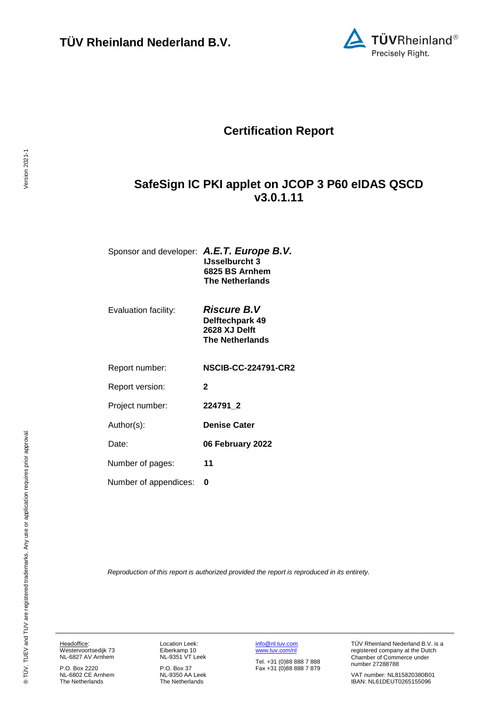

# **Certification Report**

# <span id="page-0-2"></span>**SafeSign IC PKI applet on JCOP 3 P60 eIDAS QSCD v3.0.1.11**

<span id="page-0-3"></span>

| Sponsor and developer: A.E.T. Europe B.V. |                        |
|-------------------------------------------|------------------------|
|                                           | <b>IJsselburcht 3</b>  |
|                                           | 6825 BS Arnhem         |
|                                           | <b>The Netherlands</b> |
|                                           |                        |

Evaluation facility: *Riscure B.V* 

<span id="page-0-0"></span>**Delftechpark 49 2628 XJ Delft The Netherlands**

Report number: **NSCIB-CC-224791-CR2**

Report version: **2**

Project number: **[224791\\_](#page-0-0)2**

Author(s): **Denise Cater** 

<span id="page-0-1"></span>Date: **06 February 2022**

Number of pages: **11**

Number of appendices: **0**

*Reproduction of this report is authorized provided the report is reproduced in its entirety.*

Headoffice: Westervoortsedijk 73 NL-6827 AV Arnhem

P.O. Box 2220 NL-6802 CE Arnhem The Netherlands

Location Leek: Eiberkamp 10 NL-9351 VT Leek

P.O. Box 37 NL-9350 AA Leek The Netherlands

[info@nl.tuv.com](mailto:info@nl.tuv.com) [www.tuv.com/nl](http://www.tuv.com/nl)

Tel. +31 (0)88 888 7 888 Fax +31 (0)88 888 7 879 TÜV Rheinland Nederland B.V. is a registered company at the Dutch Chamber of Commerce under number 27288788

VAT number: NL815820380B01 IBAN: NL61DEUT0265155096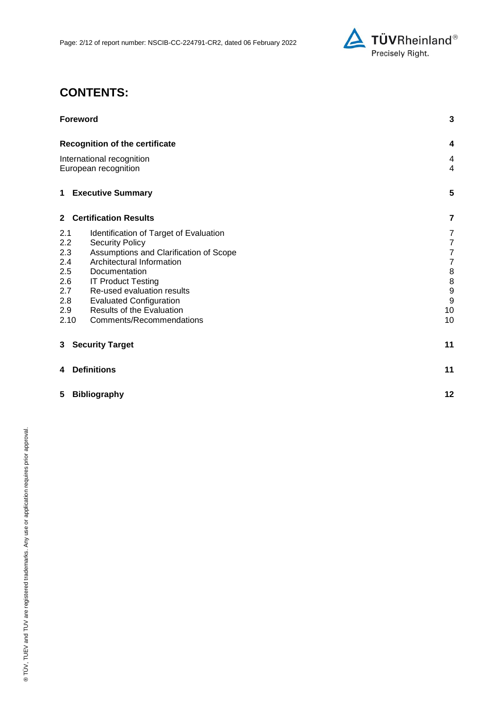

# **CONTENTS:**

| <b>Foreword</b>                                   |                                  |
|---------------------------------------------------|----------------------------------|
| <b>Recognition of the certificate</b>             | 4                                |
| International recognition<br>European recognition | $\overline{4}$<br>$\overline{4}$ |
| <b>1 Executive Summary</b>                        | 5                                |
| 2 Certification Results                           | 7                                |
| 2.1<br>Identification of Target of Evaluation     | 7                                |
| 2.2<br><b>Security Policy</b>                     | $\overline{7}$                   |
| 2.3<br>Assumptions and Clarification of Scope     | $\overline{7}$                   |
| 2.4<br>Architectural Information                  | $\overline{7}$                   |
| 2.5<br>Documentation                              | 8                                |
| 2.6<br><b>IT Product Testing</b>                  | 8                                |
| Re-used evaluation results<br>2.7                 | 9                                |
| 2.8<br><b>Evaluated Configuration</b>             | 9                                |
| Results of the Evaluation<br>2.9                  | 10                               |
| Comments/Recommendations<br>2.10                  | 10                               |
| <b>Security Target</b><br>3                       | 11                               |
| <b>Definitions</b><br>4                           | 11                               |
| 5<br><b>Bibliography</b>                          |                                  |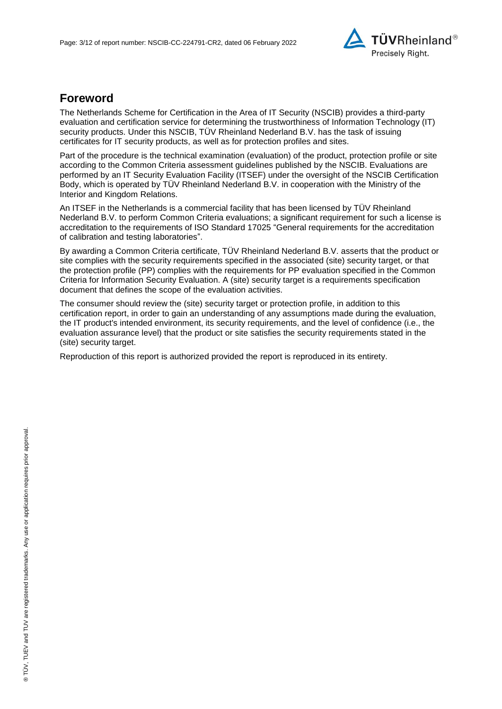

## **Foreword**

The Netherlands Scheme for Certification in the Area of IT Security (NSCIB) provides a third-party evaluation and certification service for determining the trustworthiness of Information Technology (IT) security products. Under this NSCIB, TUV Rheinland Nederland B.V. has the task of issuing certificates for IT security products, as well as for protection profiles and sites.

Part of the procedure is the technical examination (evaluation) of the product, protection profile or site according to the Common Criteria assessment guidelines published by the NSCIB. Evaluations are performed by an IT Security Evaluation Facility (ITSEF) under the oversight of the NSCIB Certification Body, which is operated by TÜV Rheinland Nederland B.V. in cooperation with the Ministry of the Interior and Kingdom Relations.

An ITSEF in the Netherlands is a commercial facility that has been licensed by TÜV Rheinland Nederland B.V. to perform Common Criteria evaluations; a significant requirement for such a license is accreditation to the requirements of ISO Standard 17025 "General requirements for the accreditation of calibration and testing laboratories".

By awarding a Common Criteria certificate, TÜV Rheinland Nederland B.V. asserts that the product or site complies with the security requirements specified in the associated (site) security target, or that the protection profile (PP) complies with the requirements for PP evaluation specified in the Common Criteria for Information Security Evaluation. A (site) security target is a requirements specification document that defines the scope of the evaluation activities.

The consumer should review the (site) security target or protection profile, in addition to this certification report, in order to gain an understanding of any assumptions made during the evaluation, the IT product's intended environment, its security requirements, and the level of confidence (i.e., the evaluation assurance level) that the product or site satisfies the security requirements stated in the (site) security target.

Reproduction of this report is authorized provided the report is reproduced in its entirety.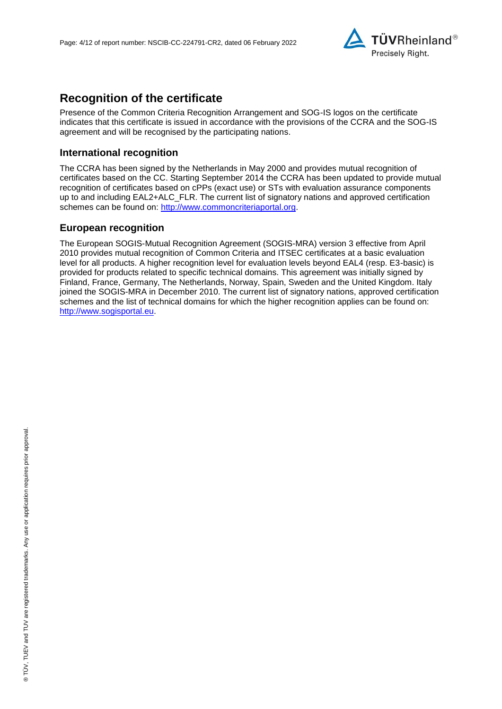

# **Recognition of the certificate**

Presence of the Common Criteria Recognition Arrangement and SOG-IS logos on the certificate indicates that this certificate is issued in accordance with the provisions of the CCRA and the SOG-IS agreement and will be recognised by the participating nations.

#### **International recognition**

The CCRA has been signed by the Netherlands in May 2000 and provides mutual recognition of certificates based on the CC. Starting September 2014 the CCRA has been updated to provide mutual recognition of certificates based on cPPs (exact use) or STs with evaluation assurance components up to and including EAL2+ALC\_FLR. The current list of signatory nations and approved certification schemes can be found on: [http://www.commoncriteriaportal.org.](http://www.commoncriteriaportal.org/)

## **European recognition**

The European SOGIS-Mutual Recognition Agreement (SOGIS-MRA) version 3 effective from April 2010 provides mutual recognition of Common Criteria and ITSEC certificates at a basic evaluation level for all products. A higher recognition level for evaluation levels beyond EAL4 (resp. E3-basic) is provided for products related to specific technical domains. This agreement was initially signed by Finland, France, Germany, The Netherlands, Norway, Spain, Sweden and the United Kingdom. Italy joined the SOGIS-MRA in December 2010. The current list of signatory nations, approved certification schemes and the list of technical domains for which the higher recognition applies can be found on: [http://www.sogisportal.eu.](http://www.sogisportal.eu/)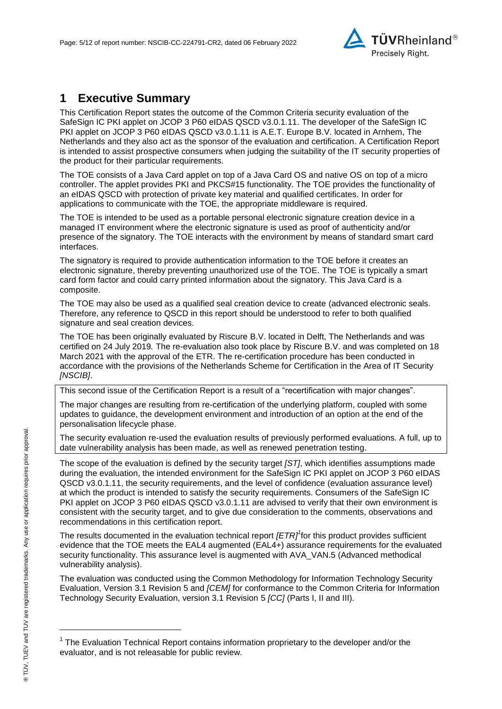<span id="page-4-2"></span>

# **1 Executive Summary**

This Certification Report states the outcome of the Common Criteria security evaluation of the [SafeSign IC PKI applet on JCOP 3 P60 eIDAS QSCD v3.0.1.11.](#page-0-2) The developer of the [SafeSign IC](#page-0-2)  [PKI applet on JCOP 3 P60 eIDAS QSCD v3.0.1.11](#page-0-2) is [A.E.T. Europe B.V.](#page-0-3) located in Arnhem, The Netherlands and they also act as the sponsor of the evaluation and certification. A Certification Report is intended to assist prospective consumers when judging the suitability of the IT security properties of the product for their particular requirements.

The TOE consists of a Java Card applet on top of a Java Card OS and native OS on top of a micro controller. The applet provides PKI and PKCS#15 functionality. The TOE provides the functionality of an eIDAS QSCD with protection of private key material and qualified certificates. In order for applications to communicate with the TOE, the appropriate middleware is required.

The TOE is intended to be used as a portable personal electronic signature creation device in a managed IT environment where the electronic signature is used as proof of authenticity and/or presence of the signatory. The TOE interacts with the environment by means of standard smart card interfaces.

The signatory is required to provide authentication information to the TOE before it creates an electronic signature, thereby preventing unauthorized use of the TOE. The TOE is typically a smart card form factor and could carry printed information about the signatory. This Java Card is a composite.

The TOE may also be used as a qualified seal creation device to create (advanced electronic seals. Therefore, any reference to QSCD in this report should be understood to refer to both qualified signature and seal creation devices.

The TOE has been originally evaluated by Riscure B.V. located in Delft, The Netherlands and was certified on 24 July 2019*.* The re-evaluation also took place by Riscure B.V. and was completed on 18 March 2021 with the approval of the ETR. The re-certification procedure has been conducted in accordance with the provisions of the Netherlands Scheme for Certification in the Area of IT Security *[NSCIB]*.

This second issue of the Certification Report is a result of a "recertification with major changes".

The major changes are resulting from re-certification of the underlying platform, coupled with some updates to guidance, the development environment and introduction of an option at the end of the personalisation lifecycle phase.

The security evaluation re-used the evaluation results of previously performed evaluations. A full, up to date vulnerability analysis has been made, as well as renewed penetration testing.

The scope of the evaluation is defined by the security target *[ST]*, which identifies assumptions made during the evaluation, the intended environment for the [SafeSign IC PKI applet on JCOP 3 P60 eIDAS](#page-0-2)  [QSCD v3.0.1.11,](#page-0-2) the security requirements, and the level of confidence (evaluation assurance level) at which the product is intended to satisfy the security requirements. Consumers of the [SafeSign IC](#page-0-2)  [PKI applet on JCOP 3 P60 eIDAS QSCD v3.0.1.11](#page-0-2) are advised to verify that their own environment is consistent with the security target, and to give due consideration to the comments, observations and recommendations in this certification report.

<span id="page-4-0"></span>The results documented in the evaluation technical report *[ETR]<sup>1</sup>* for this product provides sufficient evidence that the TOE meets the EAL4 augmented (EA[L4+](#page-4-0)) assurance requirements for the evaluated security functionality. This assurance level is augmented with AVA\_VAN.5 (Advanced methodical vulnerability analysis).

<span id="page-4-1"></span>The evaluation was conducted using the Common Methodology for Information Technology Security Evaluation, Version 3.1 Revision 5 and *[CEM]* for conformance to the Common Criteria for Information Technology Security Evaluation, version 3.1 Revision [5](#page-4-1) *[CC]* (Parts I, II and III).

l

<sup>&</sup>lt;sup>1</sup> The Evaluation Technical Report contains information proprietary to the developer and/or the evaluator, and is not releasable for public review.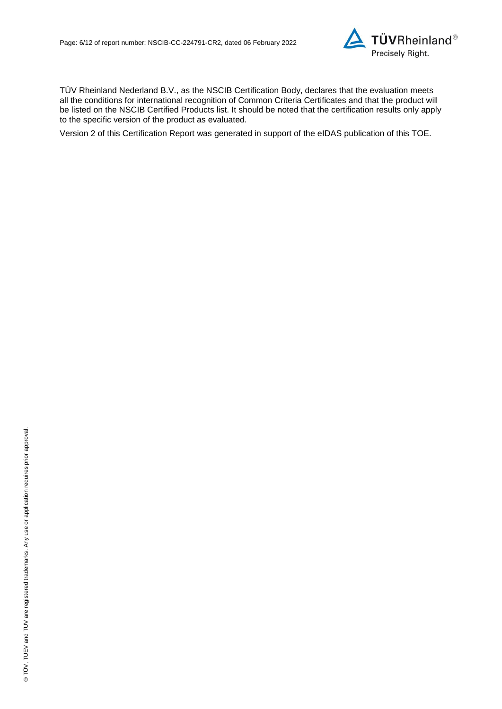

TÜV Rheinland Nederland B.V., as the NSCIB Certification Body, declares that the evaluation meets all the conditions for international recognition of Common Criteria Certificates and that the product will be listed on the NSCIB Certified Products list. It should be noted that the certification results only apply to the specific version of the product as evaluated.

Version 2 of this Certification Report was generated in support of the eIDAS publication of this TOE.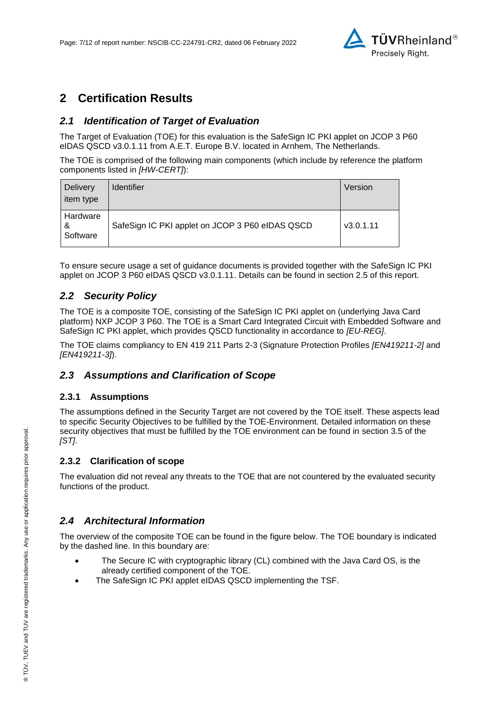

# **2 Certification Results**

## <span id="page-6-0"></span>*2.1 Identification of Target of Evaluation*

The Target of Evaluation (TOE) for this evaluation is the [SafeSign IC PKI applet on JCOP 3 P60](#page-0-2)  [eIDAS QSCD v3.0.1.11](#page-0-2) from [A.E.T. Europe B.V.](#page-0-3) located in [Arnhem, The Netherlands.](#page-4-2)

The TOE is comprised of the following main components (which include by reference the platform components listed in *[HW-CERT]*):

| <b>Delivery</b><br>item type | <b>Identifier</b>                               | Version   |
|------------------------------|-------------------------------------------------|-----------|
| Hardware<br>&<br>Software    | SafeSign IC PKI applet on JCOP 3 P60 eIDAS QSCD | v3.0.1.11 |

To ensure secure usage a set of guidance documents is provided together with the [SafeSign IC PKI](#page-0-2)  [applet on JCOP 3 P60 eIDAS QSCD v3.0.1.11.](#page-0-2) Details can be found in section [2.5](#page-7-0) of this report.

### *2.2 Security Policy*

The TOE is a composite TOE, consisting of the SafeSign IC PKI applet on (underlying Java Card platform) NXP JCOP 3 P60. The TOE is a Smart Card Integrated Circuit with Embedded Software and SafeSign IC PKI applet, which provides QSCD functionality in accordance to *[EU-REG]*.

The TOE claims compliancy to EN 419 211 Parts 2-3 (Signature Protection Profiles *[EN419211-2]* and *[EN419211-3]*).

### *2.3 Assumptions and Clarification of Scope*

#### **2.3.1 Assumptions**

The assumptions defined in the Security Target are not covered by the TOE itself. These aspects lead to specific Security Objectives to be fulfilled by the TOE-Environment. Detailed information on these security objectives that must be fulfilled by the TOE environment can be found in section 3.5 of the *[ST]*.

#### **2.3.2 Clarification of scope**

The evaluation did not reveal any threats to the TOE that are not countered by the evaluated security functions of the product.

### *2.4 Architectural Information*

The overview of the composite TOE can be found in the figure below. The TOE boundary is indicated by the dashed line. In this boundary are:

- The Secure IC with cryptographic library (CL) combined with the Java Card OS, is the already certified component of the TOE.
- The SafeSign IC PKI applet eIDAS QSCD implementing the TSF.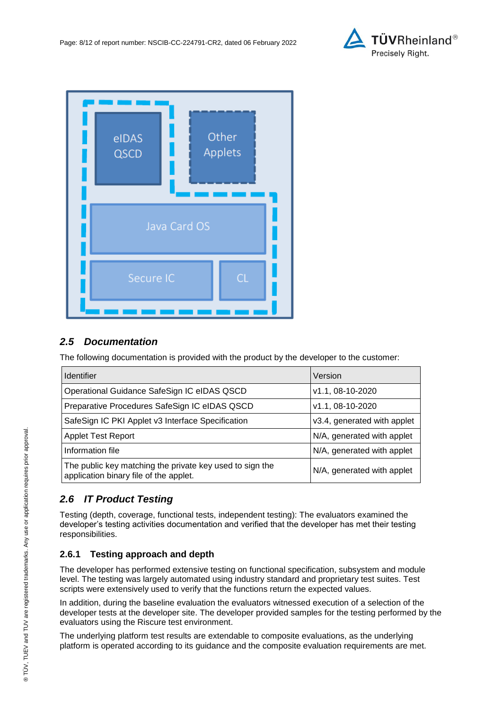



## <span id="page-7-0"></span>*2.5 Documentation*

The following documentation is provided with the product by the developer to the customer:

| <b>Identifier</b>                                                                                  | Version                     |
|----------------------------------------------------------------------------------------------------|-----------------------------|
| Operational Guidance SafeSign IC eIDAS QSCD                                                        | v1.1, 08-10-2020            |
| Preparative Procedures SafeSign IC eIDAS QSCD                                                      | v1.1, 08-10-2020            |
| SafeSign IC PKI Applet v3 Interface Specification                                                  | v3.4, generated with applet |
| Applet Test Report                                                                                 | N/A, generated with applet  |
| Information file                                                                                   | N/A, generated with applet  |
| The public key matching the private key used to sign the<br>application binary file of the applet. | N/A, generated with applet  |

## *2.6 IT Product Testing*

Testing (depth, coverage, functional tests, independent testing): The evaluators examined the developer's testing activities documentation and verified that the developer has met their testing responsibilities.

### **2.6.1 Testing approach and depth**

The developer has performed extensive testing on functional specification, subsystem and module level. The testing was largely automated using industry standard and proprietary test suites. Test scripts were extensively used to verify that the functions return the expected values.

In addition, during the baseline evaluation the evaluators witnessed execution of a selection of the developer tests at the developer site. The developer provided samples for the testing performed by the evaluators using the Riscure test environment.

The underlying platform test results are extendable to composite evaluations, as the underlying platform is operated according to its guidance and the composite evaluation requirements are met.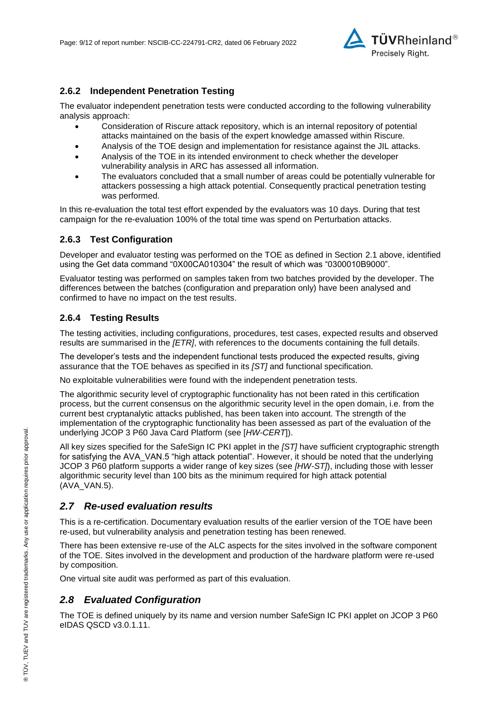

#### **2.6.2 Independent Penetration Testing**

The evaluator independent penetration tests were conducted according to the following vulnerability analysis approach:

- Consideration of Riscure attack repository, which is an internal repository of potential attacks maintained on the basis of the expert knowledge amassed within Riscure.
- Analysis of the TOE design and implementation for resistance against the JIL attacks.
- Analysis of the TOE in its intended environment to check whether the developer vulnerability analysis in ARC has assessed all information.
- The evaluators concluded that a small number of areas could be potentially vulnerable for attackers possessing a high attack potential. Consequently practical penetration testing was performed.

In this re-evaluation the total test effort expended by the evaluators was 10 days. During that test campaign for the re-evaluation 100% of the total time was spend on Perturbation attacks.

#### **2.6.3 Test Configuration**

Developer and evaluator testing was performed on the TOE as defined in Section [2.1](#page-6-0) above, identified using the Get data command "0X00CA010304" the result of which was "0300010B9000".

Evaluator testing was performed on samples taken from two batches provided by the developer. The differences between the batches (configuration and preparation only) have been analysed and confirmed to have no impact on the test results.

#### **2.6.4 Testing Results**

The testing activities, including configurations, procedures, test cases, expected results and observed results are summarised in the *[ETR]*, with references to the documents containing the full details.

The developer's tests and the independent functional tests produced the expected results, giving assurance that the TOE behaves as specified in its *[ST]* and functional specification.

No exploitable vulnerabilities were found with the independent penetration tests.

The algorithmic security level of cryptographic functionality has not been rated in this certification process, but the current consensus on the algorithmic security level in the open domain, i.e. from the current best cryptanalytic attacks published, has been taken into account. The strength of the implementation of the cryptographic functionality has been assessed as part of the evaluation of the underlying JCOP 3 P60 Java Card Platform (see [*HW-CERT*]).

All key sizes specified for the SafeSign IC PKI applet in the *[ST]* have sufficient cryptographic strength for satisfying the AVA\_VAN.5 "high attack potential". However, it should be noted that the underlying JCOP 3 P60 platform supports a wider range of key sizes (see *[HW-ST]*), including those with lesser algorithmic security level than 100 bits as the minimum required for high attack potential (AVA\_VAN.5).

#### *2.7 Re-used evaluation results*

This is a re-certification. Documentary evaluation results of the earlier version of the TOE have been re-used, but vulnerability analysis and penetration testing has been renewed.

There has been extensive re-use of the ALC aspects for the sites involved in the software component of the TOE. Sites involved in the development and production of the hardware platform were re-used by composition.

One virtual site audit was performed as part of this evaluation.

#### *2.8 Evaluated Configuration*

The TOE is defined uniquely by its name and version number [SafeSign IC PKI applet on JCOP 3 P60](#page-0-2)  [eIDAS QSCD v3.0.1.11.](#page-0-2)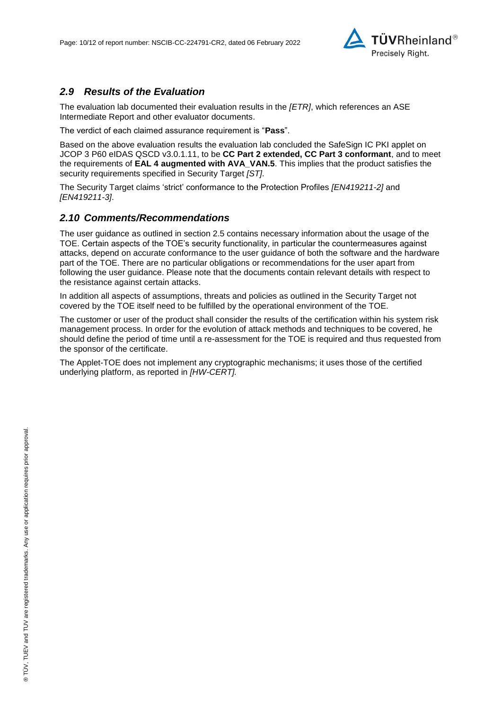

## *2.9 Results of the Evaluation*

The evaluation lab documented their evaluation results in the *[ETR]*, which references an ASE Intermediate Report and other evaluator documents.

The verdict of each claimed assurance requirement is "**Pass**".

Based on the above evaluation results the evaluation lab concluded the [SafeSign IC PKI applet on](#page-0-2)  [JCOP 3 P60 eIDAS QSCD v3.0.1.11,](#page-0-2) to be **CC Part 2 extended, CC Part 3 conformant**, and to meet the requirements of **EAL [4](#page-4-0) augmented with AVA\_VAN.5**. This implies that the product satisfies the security requirements specified in Security Target *[ST]*.

The Security Target claims 'strict' conformance to the Protection Profiles *[EN419211-2]* and *[EN419211-3]*.

#### *2.10 Comments/Recommendations*

The user guidance as outlined in section 2.5 contains necessary information about the usage of the TOE. Certain aspects of the TOE's security functionality, in particular the countermeasures against attacks, depend on accurate conformance to the user guidance of both the software and the hardware part of the TOE. There are no particular obligations or recommendations for the user apart from following the user guidance. Please note that the documents contain relevant details with respect to the resistance against certain attacks.

In addition all aspects of assumptions, threats and policies as outlined in the Security Target not covered by the TOE itself need to be fulfilled by the operational environment of the TOE.

The customer or user of the product shall consider the results of the certification within his system risk management process. In order for the evolution of attack methods and techniques to be covered, he should define the period of time until a re-assessment for the TOE is required and thus requested from the sponsor of the certificate.

The Applet-TOE does not implement any cryptographic mechanisms; it uses those of the certified underlying platform, as reported in *[HW-CERT].*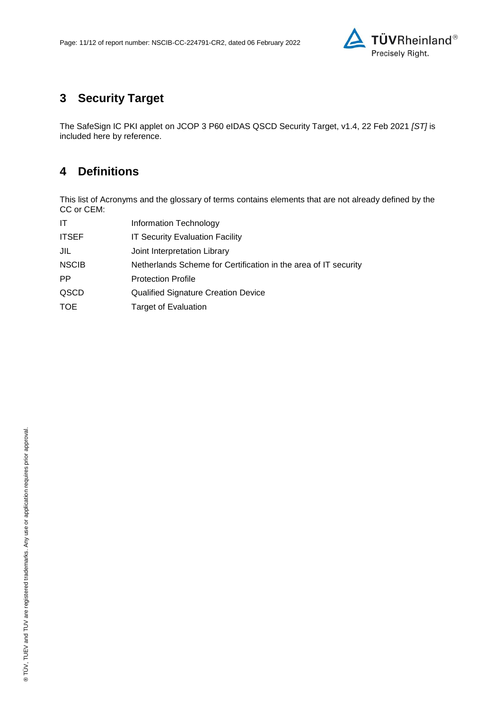

# **3 Security Target**

The SafeSign IC PKI applet on JCOP 3 [P60 eIDAS QSCD Security Target, v1.4, 22 Feb 2021](#page-11-0) *[ST]* is included here by reference.

# **4 Definitions**

This list of Acronyms and the glossary of terms contains elements that are not already defined by the CC or CEM:

| IT           | Information Technology                                          |
|--------------|-----------------------------------------------------------------|
| <b>ITSEF</b> | <b>IT Security Evaluation Facility</b>                          |
| JIL          | Joint Interpretation Library                                    |
| <b>NSCIB</b> | Netherlands Scheme for Certification in the area of IT security |
| <b>PP</b>    | <b>Protection Profile</b>                                       |
| QSCD         | <b>Qualified Signature Creation Device</b>                      |
| TOE          | <b>Target of Evaluation</b>                                     |